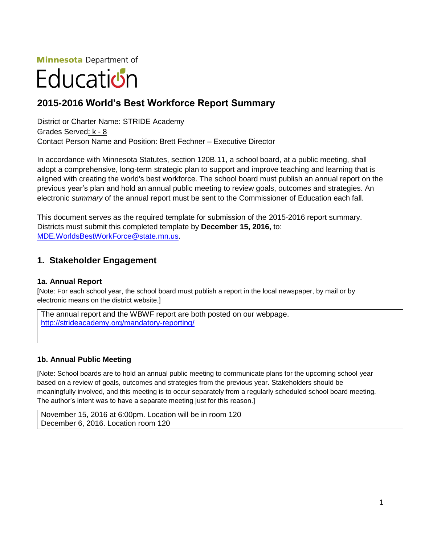**Minnesota** Department of

# Educatiบ่ก

# **2015-2016 World's Best Workforce Report Summary**

District or Charter Name: STRIDE Academy Grades Served: k - 8 Contact Person Name and Position: Brett Fechner – Executive Director

In accordance with Minnesota Statutes, section 120B.11, a school board, at a public meeting, shall adopt a comprehensive, long-term strategic plan to support and improve teaching and learning that is aligned with creating the world's best workforce. The school board must publish an annual report on the previous year's plan and hold an annual public meeting to review goals, outcomes and strategies. An electronic *summary* of the annual report must be sent to the Commissioner of Education each fall.

This document serves as the required template for submission of the 2015-2016 report summary. Districts must submit this completed template by **December 15, 2016,** to: [MDE.WorldsBestWorkForce@state.mn.us.](mailto:MDE.WorldsBestWorkForce@state.mn.us)

# **1. Stakeholder Engagement**

## **1a. Annual Report**

[Note: For each school year, the school board must publish a report in the local newspaper, by mail or by electronic means on the district website.]

The annual report and the WBWF report are both posted on our webpage. <http://strideacademy.org/mandatory-reporting/>

## **1b. Annual Public Meeting**

[Note: School boards are to hold an annual public meeting to communicate plans for the upcoming school year based on a review of goals, outcomes and strategies from the previous year. Stakeholders should be meaningfully involved, and this meeting is to occur separately from a regularly scheduled school board meeting. The author's intent was to have a separate meeting just for this reason.]

November 15, 2016 at 6:00pm. Location will be in room 120 December 6, 2016. Location room 120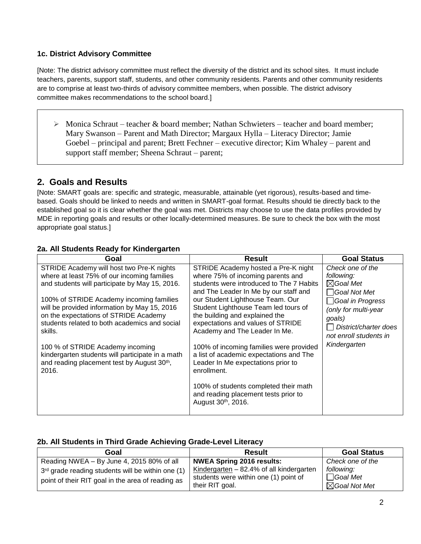## **1c. District Advisory Committee**

[Note: The district advisory committee must reflect the diversity of the district and its school sites. It must include teachers, parents, support staff, students, and other community residents. Parents and other community residents are to comprise at least two-thirds of advisory committee members, when possible. The district advisory committee makes recommendations to the school board.]

 $\triangleright$  Monica Schraut – teacher & board member; Nathan Schwieters – teacher and board member; Mary Swanson – Parent and Math Director; Margaux Hylla – Literacy Director; Jamie Goebel – principal and parent; Brett Fechner – executive director; Kim Whaley – parent and support staff member; Sheena Schraut – parent;

# **2. Goals and Results**

[Note: SMART goals are: specific and strategic, measurable, attainable (yet rigorous), results-based and timebased. Goals should be linked to needs and written in SMART-goal format. Results should tie directly back to the established goal so it is clear whether the goal was met. Districts may choose to use the data profiles provided by MDE in reporting goals and results or other locally-determined measures. Be sure to check the box with the most appropriate goal status.]

#### **2a. All Students Ready for Kindergarten**

| STRIDE Academy will host two Pre-K nights<br>STRIDE Academy hosted a Pre-K night<br>Check one of the<br>where at least 75% of our incoming families<br>where 75% of incoming parents and<br>following:                                                                                                                                                                                                                                                                                                                                                                                                                                                                                                                                                                                                                                                                                                                                                                                                                                                | Goal | <b>Result</b> | <b>Goal Status</b>                              |
|-------------------------------------------------------------------------------------------------------------------------------------------------------------------------------------------------------------------------------------------------------------------------------------------------------------------------------------------------------------------------------------------------------------------------------------------------------------------------------------------------------------------------------------------------------------------------------------------------------------------------------------------------------------------------------------------------------------------------------------------------------------------------------------------------------------------------------------------------------------------------------------------------------------------------------------------------------------------------------------------------------------------------------------------------------|------|---------------|-------------------------------------------------|
| $\boxtimes$ Goal Met<br>and students will participate by May 15, 2016.<br>students were introduced to The 7 Habits<br>and The Leader In Me by our staff and<br>$\Box$ Goal Not Met<br>our Student Lighthouse Team. Our<br>100% of STRIDE Academy incoming families<br>$\Box$ Goal in Progress<br>will be provided information by May 15, 2016<br>Student Lighthouse Team led tours of<br>(only for multi-year<br>on the expectations of STRIDE Academy<br>the building and explained the<br>goals)<br>students related to both academics and social<br>expectations and values of STRIDE<br>Academy and The Leader In Me.<br>skills.<br>Kindergarten<br>100% of incoming families were provided<br>100 % of STRIDE Academy incoming<br>kindergarten students will participate in a math<br>a list of academic expectations and The<br>and reading placement test by August 30th,<br>Leader In Me expectations prior to<br>2016.<br>enrollment.<br>100% of students completed their math<br>and reading placement tests prior to<br>August 30th, 2016. |      |               | District/charter does<br>not enroll students in |

## **2b. All Students in Third Grade Achieving Grade-Level Literacy**

| Goal                                                          | <b>Result</b>                                            | <b>Goal Status</b>                          |
|---------------------------------------------------------------|----------------------------------------------------------|---------------------------------------------|
| Reading NWEA – By June 4, 2015 80% of all                     | NWEA Spring 2016 results:                                | Check one of the                            |
| 3 <sup>rd</sup> grade reading students will be within one (1) | Kindergarten $-82.4\%$ of all kindergarten               | following:                                  |
| point of their RIT goal in the area of reading as             | students were within one (1) point of<br>their RIT goal. | $\Box$ Goal Met<br>$\boxtimes$ Goal Not Met |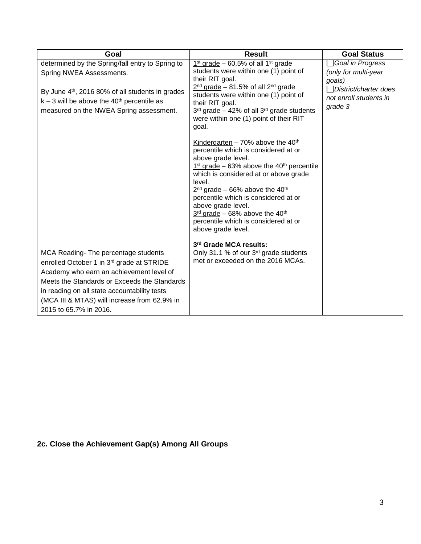| Goal                                                                                                                                                                                                                                                                                                    | <b>Result</b>                                                                                                                                                                                                                                                                                                                                                                                                                   | <b>Goal Status</b>                                                                                                |
|---------------------------------------------------------------------------------------------------------------------------------------------------------------------------------------------------------------------------------------------------------------------------------------------------------|---------------------------------------------------------------------------------------------------------------------------------------------------------------------------------------------------------------------------------------------------------------------------------------------------------------------------------------------------------------------------------------------------------------------------------|-------------------------------------------------------------------------------------------------------------------|
| determined by the Spring/fall entry to Spring to<br>Spring NWEA Assessments.<br>By June 4 <sup>th</sup> , 2016 80% of all students in grades<br>$k - 3$ will be above the 40 <sup>th</sup> percentile as<br>measured on the NWEA Spring assessment.                                                     | $1st$ grade – 60.5% of all $1st$ grade<br>students were within one (1) point of<br>their RIT goal.<br>$2nd$ grade – 81.5% of all 2 <sup>nd</sup> grade<br>students were within one (1) point of<br>their RIT goal.<br>$3rd$ grade – 42% of all $3rd$ grade students<br>were within one (1) point of their RIT<br>goal.                                                                                                          | Goal in Progress<br>(only for multi-year<br>goals)<br>□District/charter does<br>not enroll students in<br>grade 3 |
|                                                                                                                                                                                                                                                                                                         | Kindergarten - 70% above the $40th$<br>percentile which is considered at or<br>above grade level.<br>$1st grade - 63% above the 40th percentile$<br>which is considered at or above grade<br>level.<br>$2nd$ grade – 66% above the 40 <sup>th</sup><br>percentile which is considered at or<br>above grade level.<br>$3rd$ grade - 68% above the 40 <sup>th</sup><br>percentile which is considered at or<br>above grade level. |                                                                                                                   |
| MCA Reading- The percentage students<br>enrolled October 1 in 3rd grade at STRIDE<br>Academy who earn an achievement level of<br>Meets the Standards or Exceeds the Standards<br>in reading on all state accountability tests<br>(MCA III & MTAS) will increase from 62.9% in<br>2015 to 65.7% in 2016. | 3rd Grade MCA results:<br>Only 31.1 % of our 3 <sup>rd</sup> grade students<br>met or exceeded on the 2016 MCAs.                                                                                                                                                                                                                                                                                                                |                                                                                                                   |

# **2c. Close the Achievement Gap(s) Among All Groups**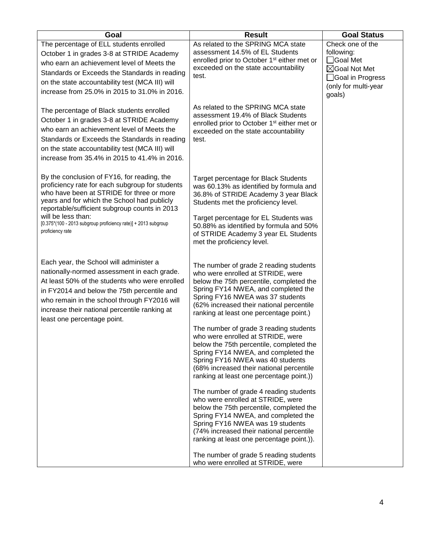| Goal                                                                                                                                                                                                                                                                                                                                 | <b>Result</b>                                                                                                                                                                                                                                                                                                                                                                                                                                                 | <b>Goal Status</b>                                                                                                  |
|--------------------------------------------------------------------------------------------------------------------------------------------------------------------------------------------------------------------------------------------------------------------------------------------------------------------------------------|---------------------------------------------------------------------------------------------------------------------------------------------------------------------------------------------------------------------------------------------------------------------------------------------------------------------------------------------------------------------------------------------------------------------------------------------------------------|---------------------------------------------------------------------------------------------------------------------|
| The percentage of ELL students enrolled<br>October 1 in grades 3-8 at STRIDE Academy<br>who earn an achievement level of Meets the<br>Standards or Exceeds the Standards in reading<br>on the state accountability test (MCA III) will<br>increase from 25.0% in 2015 to 31.0% in 2016.<br>The percentage of Black students enrolled | As related to the SPRING MCA state<br>assessment 14.5% of EL Students<br>enrolled prior to October 1 <sup>st</sup> either met or<br>exceeded on the state accountability<br>test.<br>As related to the SPRING MCA state<br>assessment 19.4% of Black Students                                                                                                                                                                                                 | Check one of the<br>following:<br>□Goal Met<br>⊠Goal Not Met<br>□Goal in Progress<br>(only for multi-year<br>goals) |
| October 1 in grades 3-8 at STRIDE Academy<br>who earn an achievement level of Meets the<br>Standards or Exceeds the Standards in reading<br>on the state accountability test (MCA III) will<br>increase from 35.4% in 2015 to 41.4% in 2016.<br>By the conclusion of FY16, for reading, the                                          | enrolled prior to October 1 <sup>st</sup> either met or<br>exceeded on the state accountability<br>test.                                                                                                                                                                                                                                                                                                                                                      |                                                                                                                     |
| proficiency rate for each subgroup for students<br>who have been at STRIDE for three or more<br>years and for which the School had publicly<br>reportable/sufficient subgroup counts in 2013<br>will be less than:<br>[0.375*(100 - 2013 subgroup proficiency rate)] + 2013 subgroup<br>proficiency rate                             | <b>Target percentage for Black Students</b><br>was 60.13% as identified by formula and<br>36.8% of STRIDE Academy 3 year Black<br>Students met the proficiency level.<br>Target percentage for EL Students was<br>50.88% as identified by formula and 50%<br>of STRIDE Academy 3 year EL Students                                                                                                                                                             |                                                                                                                     |
| Each year, the School will administer a<br>nationally-normed assessment in each grade.<br>At least 50% of the students who were enrolled<br>in FY2014 and below the 75th percentile and<br>who remain in the school through FY2016 will<br>increase their national percentile ranking at<br>least one percentage point.              | met the proficiency level.<br>The number of grade 2 reading students<br>who were enrolled at STRIDE, were<br>below the 75th percentile, completed the<br>Spring FY14 NWEA, and completed the<br>Spring FY16 NWEA was 37 students<br>(62% increased their national percentile<br>ranking at least one percentage point.)<br>The number of grade 3 reading students<br>who were enrolled at STRIDE, were                                                        |                                                                                                                     |
|                                                                                                                                                                                                                                                                                                                                      | below the 75th percentile, completed the<br>Spring FY14 NWEA, and completed the<br>Spring FY16 NWEA was 40 students<br>(68% increased their national percentile<br>ranking at least one percentage point.))<br>The number of grade 4 reading students<br>who were enrolled at STRIDE, were<br>below the 75th percentile, completed the<br>Spring FY14 NWEA, and completed the<br>Spring FY16 NWEA was 19 students<br>(74% increased their national percentile |                                                                                                                     |
|                                                                                                                                                                                                                                                                                                                                      | ranking at least one percentage point.)).<br>The number of grade 5 reading students<br>who were enrolled at STRIDE, were                                                                                                                                                                                                                                                                                                                                      |                                                                                                                     |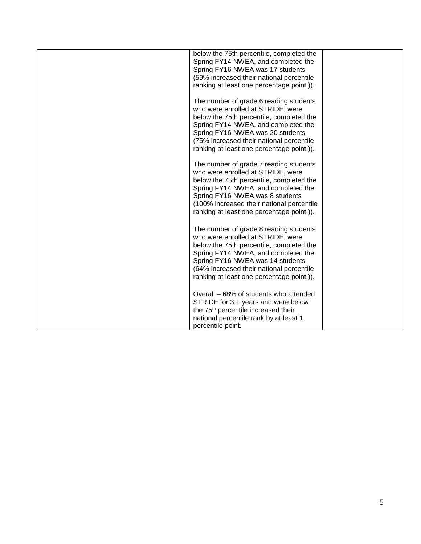| below the 75th percentile, completed the<br>Spring FY14 NWEA, and completed the<br>Spring FY16 NWEA was 17 students<br>(59% increased their national percentile<br>ranking at least one percentage point.)).                                                                                |  |
|---------------------------------------------------------------------------------------------------------------------------------------------------------------------------------------------------------------------------------------------------------------------------------------------|--|
| The number of grade 6 reading students<br>who were enrolled at STRIDE, were<br>below the 75th percentile, completed the<br>Spring FY14 NWEA, and completed the<br>Spring FY16 NWEA was 20 students<br>(75% increased their national percentile<br>ranking at least one percentage point.)). |  |
| The number of grade 7 reading students<br>who were enrolled at STRIDE, were<br>below the 75th percentile, completed the<br>Spring FY14 NWEA, and completed the<br>Spring FY16 NWEA was 8 students<br>(100% increased their national percentile<br>ranking at least one percentage point.)). |  |
| The number of grade 8 reading students<br>who were enrolled at STRIDE, were<br>below the 75th percentile, completed the<br>Spring FY14 NWEA, and completed the<br>Spring FY16 NWEA was 14 students<br>(64% increased their national percentile<br>ranking at least one percentage point.)). |  |
| Overall – 68% of students who attended<br>STRIDE for 3 + years and were below<br>the 75 <sup>th</sup> percentile increased their<br>national percentile rank by at least 1<br>percentile point.                                                                                             |  |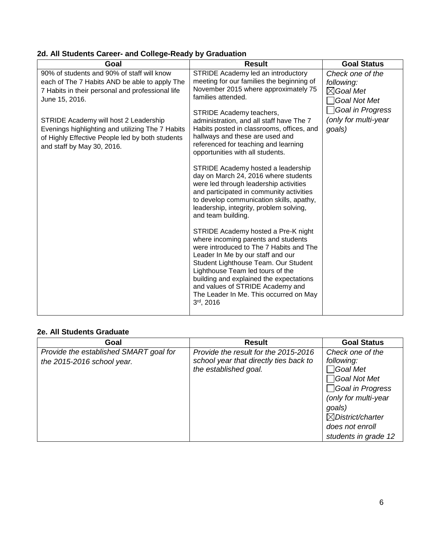| 2d. All Students Career- and College-Ready by Graduation |
|----------------------------------------------------------|
|----------------------------------------------------------|

| Goal                                                                                                                                                                                                                                                                                                                                            | <b>Result</b>                                                                                                                                                                                                                                                                                                                                                                     | <b>Goal Status</b>                                                                                                           |
|-------------------------------------------------------------------------------------------------------------------------------------------------------------------------------------------------------------------------------------------------------------------------------------------------------------------------------------------------|-----------------------------------------------------------------------------------------------------------------------------------------------------------------------------------------------------------------------------------------------------------------------------------------------------------------------------------------------------------------------------------|------------------------------------------------------------------------------------------------------------------------------|
| 90% of students and 90% of staff will know<br>each of The 7 Habits AND be able to apply The<br>7 Habits in their personal and professional life<br>June 15, 2016.<br>STRIDE Academy will host 2 Leadership<br>Evenings highlighting and utilizing The 7 Habits<br>of Highly Effective People led by both students<br>and staff by May 30, 2016. | STRIDE Academy led an introductory<br>meeting for our families the beginning of<br>November 2015 where approximately 75<br>families attended.<br>STRIDE Academy teachers,<br>administration, and all staff have The 7<br>Habits posted in classrooms, offices, and<br>hallways and these are used and<br>referenced for teaching and learning<br>opportunities with all students. | Check one of the<br>following:<br>$\boxtimes$ Goal Met<br>Goal Not Met<br>Goal in Progress<br>(only for multi-year<br>goals) |
|                                                                                                                                                                                                                                                                                                                                                 | STRIDE Academy hosted a leadership<br>day on March 24, 2016 where students<br>were led through leadership activities<br>and participated in community activities<br>to develop communication skills, apathy,<br>leadership, integrity, problem solving,<br>and team building.                                                                                                     |                                                                                                                              |
|                                                                                                                                                                                                                                                                                                                                                 | STRIDE Academy hosted a Pre-K night<br>where incoming parents and students<br>were introduced to The 7 Habits and The<br>Leader In Me by our staff and our<br>Student Lighthouse Team. Our Student<br>Lighthouse Team led tours of the<br>building and explained the expectations<br>and values of STRIDE Academy and<br>The Leader In Me. This occurred on May<br>3rd, 2016      |                                                                                                                              |

# **2e. All Students Graduate**

| Goal                                                                 | <b>Result</b>                                                                  | <b>Goal Status</b>                            |
|----------------------------------------------------------------------|--------------------------------------------------------------------------------|-----------------------------------------------|
| Provide the established SMART goal for<br>the 2015-2016 school year. | Provide the result for the 2015-2016<br>school year that directly ties back to | Check one of the<br>following:<br>ີ IGoal Met |
|                                                                      | the established goal.                                                          | Goal Not Met                                  |
|                                                                      |                                                                                | Goal in Progress<br>(only for multi-year      |
|                                                                      |                                                                                | goals)<br>$\boxtimes$ District/charter        |
|                                                                      |                                                                                | does not enroll                               |
|                                                                      |                                                                                | students in grade 12                          |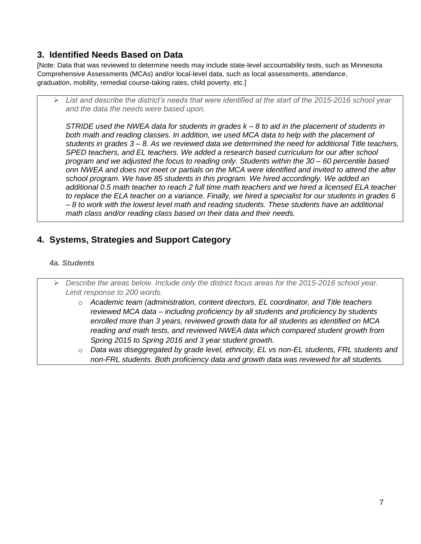# **3. Identified Needs Based on Data**

[Note: Data that was reviewed to determine needs may include state-level accountability tests, such as Minnesota Comprehensive Assessments (MCAs) and/or local-level data, such as local assessments, attendance, graduation, mobility, remedial course-taking rates, child poverty, etc.]

 *List and describe the district's needs that were identified at the start of the 2015-2016 school year and the data the needs were based upon.*

*STRIDE used the NWEA data for students in grades k – 8 to aid in the placement of students in both math and reading classes. In addition, we used MCA data to help with the placement of students in grades 3 – 8. As we reviewed data we determined the need for additional Title teachers, SPED teachers, and EL teachers. We added a research based curriculum for our after school program and we adjusted the focus to reading only. Students within the 30 – 60 percentile based onn NWEA and does not meet or partials on the MCA were identified and invited to attend the after school program. We have 85 students in this program. We hired accordingly. We added an additional 0.5 math teacher to reach 2 full time math teachers and we hired a licensed ELA teacher to replace the ELA teacher on a variance. Finally, we hired a specialist for our students in grades 6 – 8 to work with the lowest level math and reading students. These students have an additional math class and/or reading class based on their data and their needs.*

# **4. Systems, Strategies and Support Category**

#### *4a. Students*

 *Describe the areas below. Include only the district focus areas for the 2015-2016 school year. Limit response to 200 words.* o *Academic team (administration, content directors, EL coordinator, and Title teachers reviewed MCA data – including proficiency by all students and proficiency by students enrolled more than 3 years, reviewed growth data for all students as identified on MCA reading and math tests, and reviewed NWEA data which compared student growth from Spring 2015 to Spring 2016 and 3 year student growth.* o *Data was diseggregated by grade level, ethnicity, EL vs non-EL students, FRL students and non-FRL students. Both proficiency data and growth data was reviewed for all students.*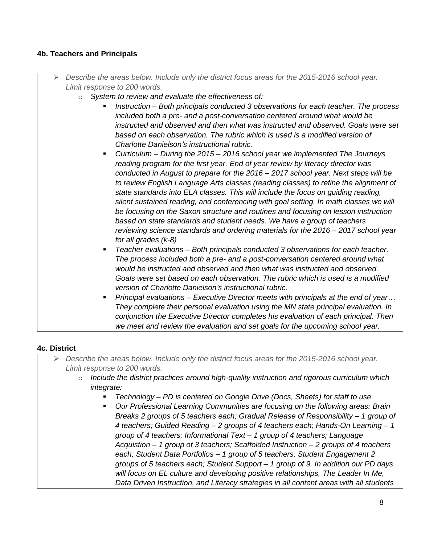## **4b. Teachers and Principals**

- *Describe the areas below. Include only the district focus areas for the 2015-2016 school year. Limit response to 200 words.*
	- o *System to review and evaluate the effectiveness of:*
		- *Instruction – Both principals conducted 3 observations for each teacher. The process included both a pre- and a post-conversation centered around what would be instructed and observed and then what was instructed and observed. Goals were set based on each observation. The rubric which is used is a modified version of Charlotte Danielson's instructional rubric.*
		- *Curriculum – During the 2015 – 2016 school year we implemented The Journeys reading program for the first year. End of year review by literacy director was conducted in August to prepare for the 2016 – 2017 school year. Next steps will be to review English Language Arts classes (reading classes) to refine the alignment of state standards into ELA classes. This will include the focus on guiding reading, silent sustained reading, and conferencing with goal setting. In math classes we will be focusing on the Saxon structure and routines and focusing on lesson instruction based on state standards and student needs. We have a group of teachers reviewing science standards and ordering materials for the 2016 – 2017 school year for all grades (k-8)*
		- *Teacher evaluations – Both principals conducted 3 observations for each teacher. The process included both a pre- and a post-conversation centered around what would be instructed and observed and then what was instructed and observed. Goals were set based on each observation. The rubric which is used is a modified version of Charlotte Danielson's instructional rubric.*
		- *Principal evaluations – Executive Director meets with principals at the end of year… They complete their personal evaluation using the MN state principal evaluation. In conjunction the Executive Director completes his evaluation of each principal. Then we meet and review the evaluation and set goals for the upcoming school year.*

## **4c. District**

- *Describe the areas below. Include only the district focus areas for the 2015-2016 school year. Limit response to 200 words.*
	- o *Include the district practices around high-quality instruction and rigorous curriculum which integrate:* 
		- *Technology – PD is centered on Google Drive (Docs, Sheets) for staff to use*
		- *Our Professional Learning Communities are focusing on the following areas: Brain Breaks 2 groups of 5 teachers each; Gradual Release of Responsibility – 1 group of 4 teachers; Guided Reading – 2 groups of 4 teachers each; Hands-On Learning – 1 group of 4 teachers; Informational Text – 1 group of 4 teachers; Language Acquistion – 1 group of 3 teachers; Scaffolded Instruction – 2 groups of 4 teachers each; Student Data Portfolios – 1 group of 5 teachers; Student Engagement 2 groups of 5 teachers each; Student Support – 1 group of 9. In addition our PD days will focus on EL culture and developing positive relationships, The Leader In Me, Data Driven Instruction, and Literacy strategies in all content areas with all students*